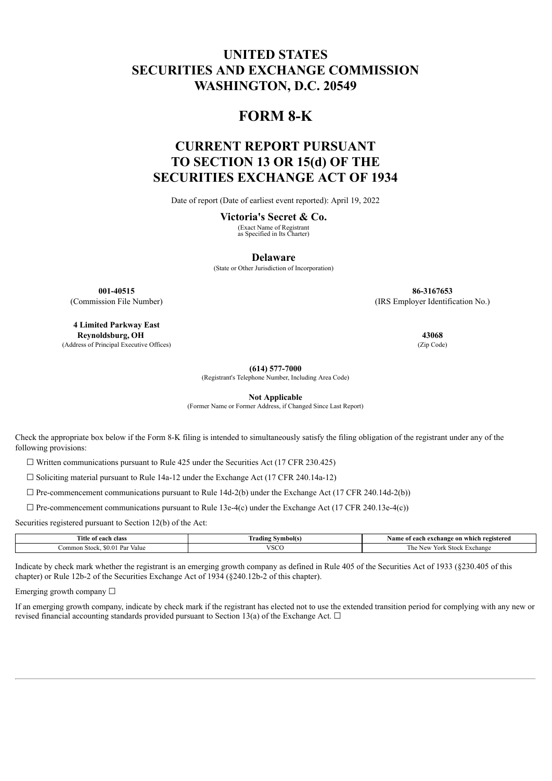# **UNITED STATES SECURITIES AND EXCHANGE COMMISSION WASHINGTON, D.C. 20549**

## **FORM 8-K**

# **CURRENT REPORT PURSUANT TO SECTION 13 OR 15(d) OF THE SECURITIES EXCHANGE ACT OF 1934**

Date of report (Date of earliest event reported): April 19, 2022

#### **Victoria's Secret & Co.**

(Exact Name of Registrant as Specified in Its Charter)

**Delaware**

(State or Other Jurisdiction of Incorporation)

**4 Limited Parkway East Reynoldsburg, OH 43068** (Address of Principal Executive Offices) (Zip Code)

**001-40515 86-3167653** (Commission File Number) (IRS Employer Identification No.)

**(614) 577-7000**

(Registrant's Telephone Number, Including Area Code)

**Not Applicable**

(Former Name or Former Address, if Changed Since Last Report)

Check the appropriate box below if the Form 8-K filing is intended to simultaneously satisfy the filing obligation of the registrant under any of the following provisions:

 $\Box$  Written communications pursuant to Rule 425 under the Securities Act (17 CFR 230.425)

 $\Box$  Soliciting material pursuant to Rule 14a-12 under the Exchange Act (17 CFR 240.14a-12)

 $\Box$  Pre-commencement communications pursuant to Rule 14d-2(b) under the Exchange Act (17 CFR 240.14d-2(b))

 $\Box$  Pre-commencement communications pursuant to Rule 13e-4(c) under the Exchange Act (17 CFR 240.13e-4(c))

Securities registered pursuant to Section 12(b) of the Act:

| Title of each class              | --<br>rading<br>Symbol <sub>is</sub> | registered ו<br>Name<br>e of each exchange on which- |
|----------------------------------|--------------------------------------|------------------------------------------------------|
| . Par<br>50.O<br>Stock.<br>Value | <b>VSCC</b>                          | Stock<br>xchange<br>York<br>. IN L.<br>$-11$         |

Indicate by check mark whether the registrant is an emerging growth company as defined in Rule 405 of the Securities Act of 1933 (§230.405 of this chapter) or Rule 12b-2 of the Securities Exchange Act of 1934 (§240.12b-2 of this chapter).

Emerging growth company  $\Box$ 

If an emerging growth company, indicate by check mark if the registrant has elected not to use the extended transition period for complying with any new or revised financial accounting standards provided pursuant to Section 13(a) of the Exchange Act.  $\Box$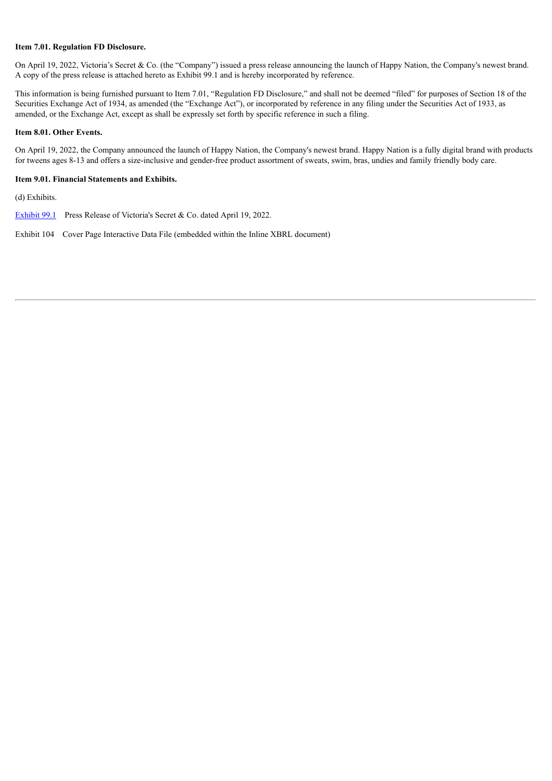#### **Item 7.01. Regulation FD Disclosure.**

On April 19, 2022, Victoria's Secret & Co. (the "Company") issued a press release announcing the launch of Happy Nation, the Company's newest brand. A copy of the press release is attached hereto as Exhibit 99.1 and is hereby incorporated by reference.

This information is being furnished pursuant to Item 7.01, "Regulation FD Disclosure," and shall not be deemed "filed" for purposes of Section 18 of the Securities Exchange Act of 1934, as amended (the "Exchange Act"), or incorporated by reference in any filing under the Securities Act of 1933, as amended, or the Exchange Act, except as shall be expressly set forth by specific reference in such a filing.

#### **Item 8.01. Other Events.**

On April 19, 2022, the Company announced the launch of Happy Nation, the Company's newest brand. Happy Nation is a fully digital brand with products for tweens ages 8-13 and offers a size-inclusive and gender-free product assortment of sweats, swim, bras, undies and family friendly body care.

#### **Item 9.01. Financial Statements and Exhibits.**

(d) Exhibits.

[Exhibit](#page-3-0) 99.1 Press Release of Victoria's Secret & Co. dated April 19, 2022.

Exhibit 104 Cover Page Interactive Data File (embedded within the Inline XBRL document)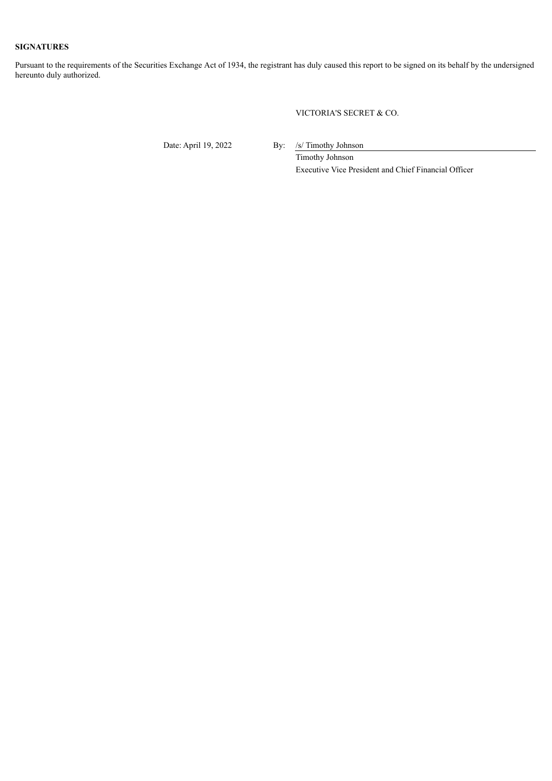## **SIGNATURES**

Pursuant to the requirements of the Securities Exchange Act of 1934, the registrant has duly caused this report to be signed on its behalf by the undersigned hereunto duly authorized.

VICTORIA'S SECRET & CO.

Date: April 19, 2022 By: /s/ Timothy Johnson

Timothy Johnson Executive Vice President and Chief Financial Officer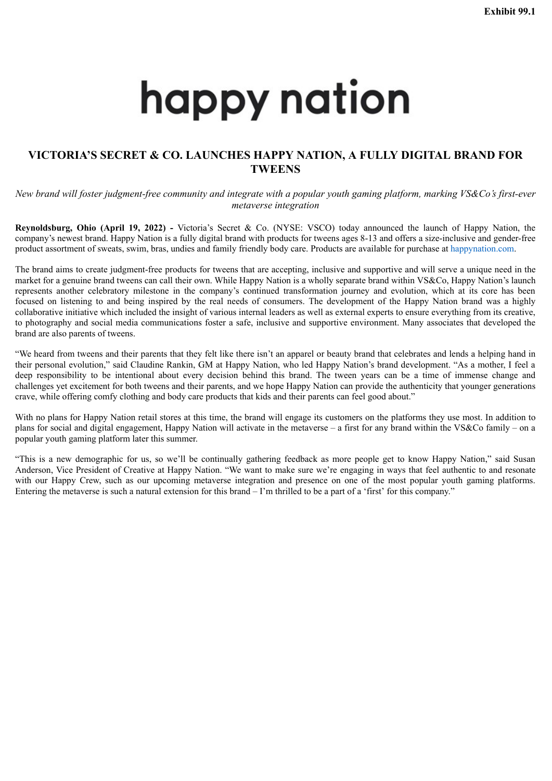# <span id="page-3-0"></span>happy nation

## **VICTORIA'S SECRET & CO. LAUNCHES HAPPY NATION, A FULLY DIGITAL BRAND FOR TWEENS**

*New brand will foster judgment-free community and integrate with a popular youth gaming platform, marking VS&Co's first-ever metaverse integration*

**Reynoldsburg, Ohio (April 19, 2022) -** Victoria's Secret & Co. (NYSE: VSCO) today announced the launch of Happy Nation, the company's newest brand. Happy Nation is a fully digital brand with products for tweens ages 8-13 and offers a size-inclusive and gender-free product assortment of sweats, swim, bras, undies and family friendly body care. Products are available for purchase at happynation.com.

The brand aims to create judgment-free products for tweens that are accepting, inclusive and supportive and will serve a unique need in the market for a genuine brand tweens can call their own. While Happy Nation is a wholly separate brand within VS&Co, Happy Nation's launch represents another celebratory milestone in the company's continued transformation journey and evolution, which at its core has been focused on listening to and being inspired by the real needs of consumers. The development of the Happy Nation brand was a highly collaborative initiative which included the insight of various internal leaders as well as external experts to ensure everything from its creative, to photography and social media communications foster a safe, inclusive and supportive environment. Many associates that developed the brand are also parents of tweens.

"We heard from tweens and their parents that they felt like there isn't an apparel or beauty brand that celebrates and lends a helping hand in their personal evolution," said Claudine Rankin, GM at Happy Nation, who led Happy Nation's brand development. "As a mother, I feel a deep responsibility to be intentional about every decision behind this brand. The tween years can be a time of immense change and challenges yet excitement for both tweens and their parents, and we hope Happy Nation can provide the authenticity that younger generations crave, while offering comfy clothing and body care products that kids and their parents can feel good about."

With no plans for Happy Nation retail stores at this time, the brand will engage its customers on the platforms they use most. In addition to plans for social and digital engagement, Happy Nation will activate in the metaverse – a first for any brand within the VS&Co family – on a popular youth gaming platform later this summer.

"This is a new demographic for us, so we'll be continually gathering feedback as more people get to know Happy Nation," said Susan Anderson, Vice President of Creative at Happy Nation. "We want to make sure we're engaging in ways that feel authentic to and resonate with our Happy Crew, such as our upcoming metaverse integration and presence on one of the most popular youth gaming platforms. Entering the metaverse is such a natural extension for this brand – I'm thrilled to be a part of a 'first' for this company."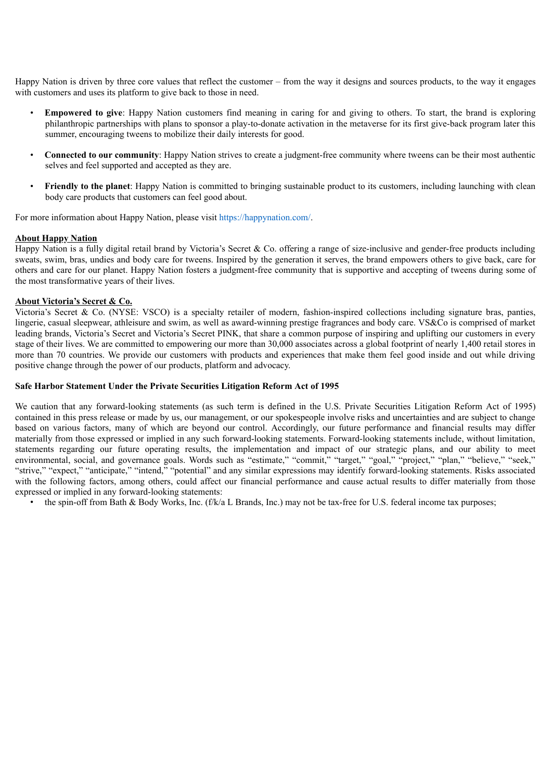Happy Nation is driven by three core values that reflect the customer – from the way it designs and sources products, to the way it engages with customers and uses its platform to give back to those in need.

- **Empowered to give**: Happy Nation customers find meaning in caring for and giving to others. To start, the brand is exploring philanthropic partnerships with plans to sponsor a play-to-donate activation in the metaverse for its first give-back program later this summer, encouraging tweens to mobilize their daily interests for good.
- **Connected to our community**: Happy Nation strives to create a judgment-free community where tweens can be their most authentic selves and feel supported and accepted as they are.
- **Friendly to the planet**: Happy Nation is committed to bringing sustainable product to its customers, including launching with clean body care products that customers can feel good about.

For more information about Happy Nation, please visit https://happynation.com/.

## **About Happy Nation**

Happy Nation is a fully digital retail brand by Victoria's Secret & Co. offering a range of size-inclusive and gender-free products including sweats, swim, bras, undies and body care for tweens. Inspired by the generation it serves, the brand empowers others to give back, care for others and care for our planet. Happy Nation fosters a judgment-free community that is supportive and accepting of tweens during some of the most transformative years of their lives.

## **About Victoria's Secret & Co.**

Victoria's Secret & Co. (NYSE: VSCO) is a specialty retailer of modern, fashion-inspired collections including signature bras, panties, lingerie, casual sleepwear, athleisure and swim, as well as award-winning prestige fragrances and body care. VS&Co is comprised of market leading brands, Victoria's Secret and Victoria's Secret PINK, that share a common purpose of inspiring and uplifting our customers in every stage of their lives. We are committed to empowering our more than 30,000 associates across a global footprint of nearly 1,400 retail stores in more than 70 countries. We provide our customers with products and experiences that make them feel good inside and out while driving positive change through the power of our products, platform and advocacy.

## **Safe Harbor Statement Under the Private Securities Litigation Reform Act of 1995**

We caution that any forward-looking statements (as such term is defined in the U.S. Private Securities Litigation Reform Act of 1995) contained in this press release or made by us, our management, or our spokespeople involve risks and uncertainties and are subject to change based on various factors, many of which are beyond our control. Accordingly, our future performance and financial results may differ materially from those expressed or implied in any such forward-looking statements. Forward-looking statements include, without limitation, statements regarding our future operating results, the implementation and impact of our strategic plans, and our ability to meet environmental, social, and governance goals. Words such as "estimate," "commit," "target," "goal," "project," "plan," "believe," "seek," "strive," "expect," "anticipate," "intend," "potential" and any similar expressions may identify forward-looking statements. Risks associated with the following factors, among others, could affect our financial performance and cause actual results to differ materially from those expressed or implied in any forward-looking statements:

• the spin-off from Bath & Body Works, Inc.  $(fk/a L$  Brands, Inc.) may not be tax-free for U.S. federal income tax purposes;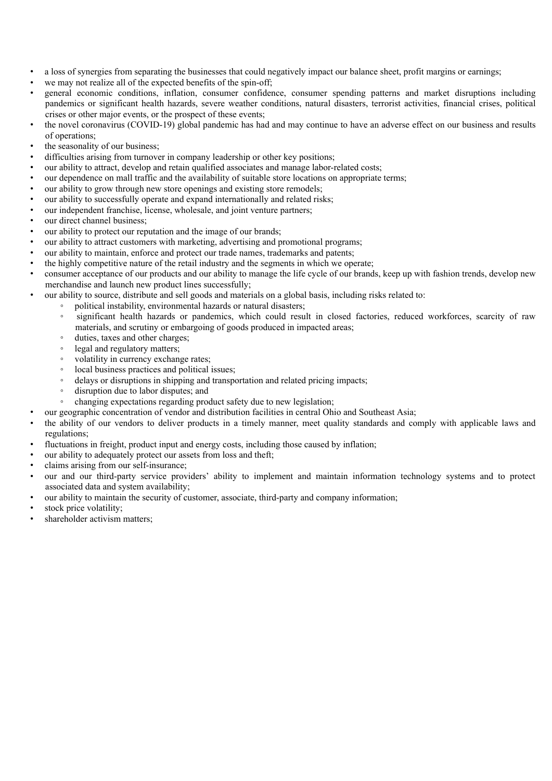- a loss of synergies from separating the businesses that could negatively impact our balance sheet, profit margins or earnings;
- we may not realize all of the expected benefits of the spin-off;
- general economic conditions, inflation, consumer confidence, consumer spending patterns and market disruptions including pandemics or significant health hazards, severe weather conditions, natural disasters, terrorist activities, financial crises, political crises or other major events, or the prospect of these events;
- the novel coronavirus (COVID-19) global pandemic has had and may continue to have an adverse effect on our business and results of operations;
- the seasonality of our business;
- difficulties arising from turnover in company leadership or other key positions;
- our ability to attract, develop and retain qualified associates and manage labor-related costs;
- our dependence on mall traffic and the availability of suitable store locations on appropriate terms;
- our ability to grow through new store openings and existing store remodels;
- our ability to successfully operate and expand internationally and related risks;
- our independent franchise, license, wholesale, and joint venture partners;
- our direct channel business:
- our ability to protect our reputation and the image of our brands;
- our ability to attract customers with marketing, advertising and promotional programs;
- our ability to maintain, enforce and protect our trade names, trademarks and patents;
- the highly competitive nature of the retail industry and the segments in which we operate;
- consumer acceptance of our products and our ability to manage the life cycle of our brands, keep up with fashion trends, develop new merchandise and launch new product lines successfully;
	- our ability to source, distribute and sell goods and materials on a global basis, including risks related to:
		- political instability, environmental hazards or natural disasters;
		- significant health hazards or pandemics, which could result in closed factories, reduced workforces, scarcity of raw materials, and scrutiny or embargoing of goods produced in impacted areas;
		- duties, taxes and other charges;
		- legal and regulatory matters;
		- volatility in currency exchange rates;
		- local business practices and political issues;
		- delays or disruptions in shipping and transportation and related pricing impacts;
		- disruption due to labor disputes; and
		- changing expectations regarding product safety due to new legislation;
- our geographic concentration of vendor and distribution facilities in central Ohio and Southeast Asia;
- the ability of our vendors to deliver products in a timely manner, meet quality standards and comply with applicable laws and regulations;
- fluctuations in freight, product input and energy costs, including those caused by inflation;
- our ability to adequately protect our assets from loss and theft;
- claims arising from our self-insurance;
- our and our third-party service providers' ability to implement and maintain information technology systems and to protect associated data and system availability;
- our ability to maintain the security of customer, associate, third-party and company information;
- stock price volatility;
- shareholder activism matters;